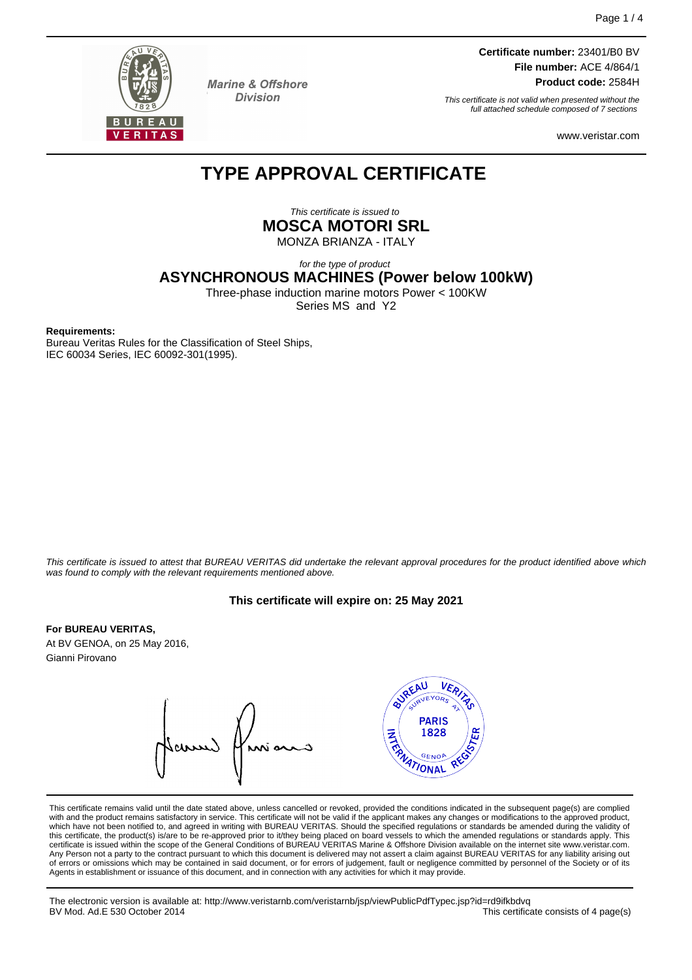

**Marine & Offshore Division** 

**Certificate number:** 23401/B0 BV **File number:** ACE 4/864/1 **Product code:** 2584H

This certificate is not valid when presented without the full attached schedule composed of 7 sections

www.veristar.com

# **TYPE APPROVAL CERTIFICATE**

This certificate is issued to **MOSCA MOTORI SRL**

MONZA BRIANZA - ITALY

for the type of product

**ASYNCHRONOUS MACHINES (Power below 100kW)**

Three-phase induction marine motors Power < 100KW Series MS and Y2

**Requirements:**

Bureau Veritas Rules for the Classification of Steel Ships, IEC 60034 Series, IEC 60092-301(1995).

This certificate is issued to attest that BUREAU VERITAS did undertake the relevant approval procedures for the product identified above which was found to comply with the relevant requirements mentioned above.

#### **This certificate will expire on: 25 May 2021**

#### **For BUREAU VERITAS,**

At BV GENOA, on 25 May 2016, Gianni Pirovano



This certificate remains valid until the date stated above, unless cancelled or revoked, provided the conditions indicated in the subsequent page(s) are complied with and the product remains satisfactory in service. This certificate will not be valid if the applicant makes any changes or modifications to the approved product, which have not been notified to, and agreed in writing with BUREAU VERITAS. Should the specified regulations or standards be amended during the validity of this certificate, the product(s) is/are to be re-approved prior to it/they being placed on board vessels to which the amended regulations or standards apply. This<br>certificate is issued within the scope of the General Condi Any Person not a party to the contract pursuant to which this document is delivered may not assert a claim against BUREAU VERITAS for any liability arising out of errors or omissions which may be contained in said document, or for errors of judgement, fault or negligence committed by personnel of the Society or of its Agents in establishment or issuance of this document, and in connection with any activities for which it may provide.

The electronic version is available at: http://www.veristarnb.com/veristarnb/jsp/viewPublicPdfTypec.jsp?id=rd9ifkbdvq<br>BV Mod. Ad.E 530 October 2014 This certificate consists of 4 page(s)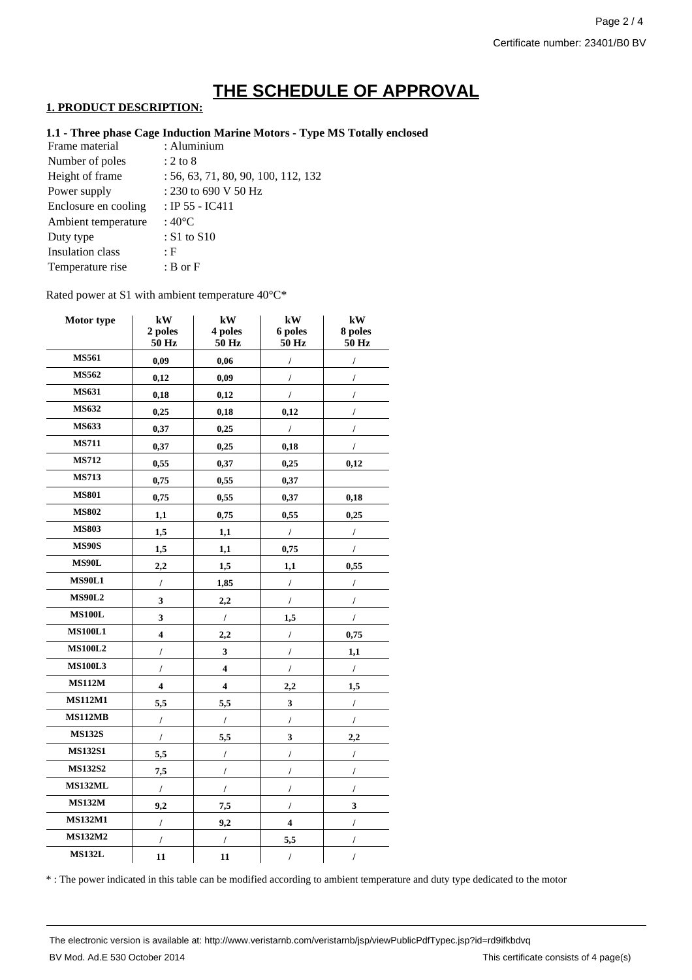# **THE SCHEDULE OF APPROVAL**

### **1. PRODUCT DESCRIPTION:**

### **1.1 - Three phase Cage Induction Marine Motors - Type MS Totally enclosed**

| : Aluminium                         |
|-------------------------------------|
| $: 2 \text{ to } 8$                 |
| : 56, 63, 71, 80, 90, 100, 112, 132 |
| : 230 to 690 V 50 Hz                |
| : IP 55 - IC411                     |
| : $40^{\circ}$ C                    |
| $: S1$ to $S10$                     |
| : F                                 |
| $B$ or $F$                          |
|                                     |

Rated power at S1 with ambient temperature 40°C\*

| Motor type     | kW<br>2 poles<br>50 Hz  | kW<br>4 poles<br>50 Hz  | kW<br>6 poles<br>50 Hz  | kW<br>8 poles<br>50 Hz |
|----------------|-------------------------|-------------------------|-------------------------|------------------------|
| <b>MS561</b>   | 0,09                    | 0,06                    | $\overline{I}$          | I                      |
| MS562          | 0,12                    | 0,09                    | $\prime$                | $\overline{I}$         |
| <b>MS631</b>   | 0,18                    | 0,12                    | $\prime$                | $\prime$               |
| MS632          | 0,25                    | 0,18                    | 0,12                    | $\overline{I}$         |
| MS633          | 0,37                    | 0,25                    | $\prime$                |                        |
| <b>MS711</b>   | 0,37                    | 0,25                    | 0,18                    | I                      |
| <b>MS712</b>   | 0,55                    | 0,37                    | 0,25                    | 0,12                   |
| <b>MS713</b>   | 0,75                    | 0,55                    | 0,37                    |                        |
| <b>MS801</b>   | 0,75                    | 0,55                    | 0,37                    | 0,18                   |
| <b>MS802</b>   | 1,1                     | 0,75                    | 0,55                    | 0,25                   |
| <b>MS803</b>   | 1,5                     | 1,1                     | $\sqrt{2}$              | $\prime$               |
| <b>MS90S</b>   | 1,5                     | 1,1                     | 0,75                    | $\prime$               |
| <b>MS90L</b>   | 2,2                     | 1,5                     | 1,1                     | 0,55                   |
| <b>MS90L1</b>  | $\prime$                | 1,85                    | $\prime$                | $\prime$               |
| <b>MS90L2</b>  | 3                       | 2,2                     | I                       | T                      |
| <b>MS100L</b>  | 3                       | $\prime$                | 1,5                     | $\prime$               |
| <b>MS100L1</b> | $\overline{\mathbf{4}}$ | 2,2                     | $\prime$                | 0,75                   |
| <b>MS100L2</b> | I                       | 3                       | $\overline{I}$          | 1,1                    |
| <b>MS100L3</b> | $\overline{I}$          | $\overline{\mathbf{4}}$ | $\cal I$                | $\prime$               |
| <b>MS112M</b>  | $\overline{\mathbf{4}}$ | $\overline{\mathbf{4}}$ | 2,2                     | 1,5                    |
| <b>MS112M1</b> | 5,5                     | 5,5                     | $\mathbf{3}$            | $\prime$               |
| MS112MB        | $\cal I$                | $\prime$                | $\prime$                | $\prime$               |
| <b>MS132S</b>  | $\prime$                | 5,5                     | 3                       | 2,2                    |
| <b>MS132S1</b> | 5,5                     | $\cal I$                | $\prime$                | $\prime$               |
| <b>MS132S2</b> | 7,5                     | $\prime$                | $\overline{I}$          | $\prime$               |
| <b>MS132ML</b> | $\prime$                | $\prime$                | $\prime$                | $\prime$               |
| <b>MS132M</b>  | 9,2                     | 7,5                     | $\prime$                | 3                      |
| <b>MS132M1</b> | $\overline{I}$          | 9,2                     | $\overline{\mathbf{4}}$ | $\prime$               |
| <b>MS132M2</b> | I                       | $\prime$                | 5,5                     |                        |
| <b>MS132L</b>  | 11                      | 11                      | $\prime$                | I                      |

\* : The power indicated in this table can be modified according to ambient temperature and duty type dedicated to the motor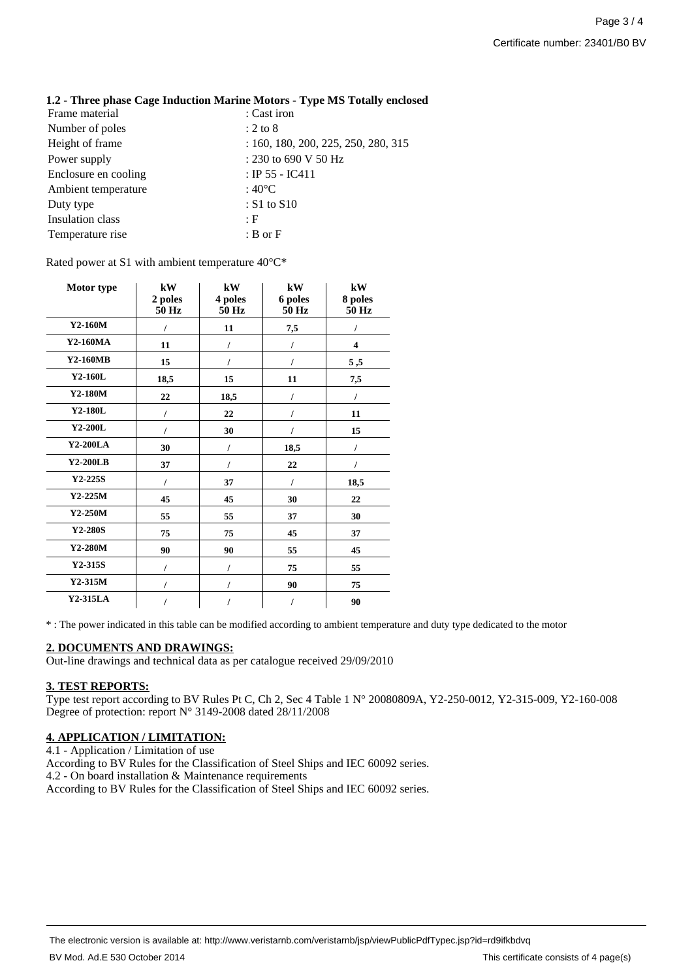| 1.2 - Three phase Cage Induction Marine Motors - Type MS Totally enclosed |                                     |
|---------------------------------------------------------------------------|-------------------------------------|
| Frame material                                                            | : Cast iron                         |
| Number of poles                                                           | $: 2 \text{ to } 8$                 |
| Height of frame                                                           | : 160, 180, 200, 225, 250, 280, 315 |
| Power supply                                                              | : 230 to 690 V 50 Hz                |
| Enclosure en cooling                                                      | : IP 55 - IC411                     |
| Ambient temperature                                                       | : $40^{\circ}$ C                    |
| Duty type                                                                 | : $S1$ to $S10$                     |
| Insulation class                                                          | : F                                 |
| Temperature rise                                                          | $B$ or $F$                          |

Rated power at S1 with ambient temperature 40°C\*

| Motor type | kW<br>2 poles<br>50 Hz | kW<br>4 poles<br>50 Hz | kW<br>6 poles<br>50 Hz | kW<br>8 poles<br>50 Hz |
|------------|------------------------|------------------------|------------------------|------------------------|
| Y2-160M    |                        | 11                     | 7,5                    |                        |
| Y2-160MA   | 11                     |                        | I                      | 4                      |
| Y2-160MB   | 15                     |                        | I                      | 5,5                    |
| Y2-160L    | 18,5                   | 15                     | 11                     | 7,5                    |
| Y2-180M    | 22                     | 18,5                   |                        |                        |
| Y2-180L    | I                      | 22                     | I                      | 11                     |
| Y2-200L    | I                      | 30                     | 1                      | 15                     |
| Y2-200LA   | 30                     | 7                      | 18,5                   | I                      |
| Y2-200LB   | 37                     |                        | 22                     | I                      |
| $Y2-225S$  | I                      | 37                     | I                      | 18,5                   |
| $Y2-225M$  | 45                     | 45                     | 30                     | 22                     |
| $Y2-250M$  | 55                     | 55                     | 37                     | 30                     |
| Y2-280S    | 75                     | 75                     | 45                     | 37                     |
| Y2-280M    | 90                     | 90                     | 55                     | 45                     |
| $Y2-315S$  | I                      |                        | 75                     | 55                     |
| $Y2-315M$  | I                      |                        | 90                     | 75                     |
| $Y2-315LA$ | I                      | I                      | I                      | 90                     |

\* : The power indicated in this table can be modified according to ambient temperature and duty type dedicated to the motor

#### **2. DOCUMENTS AND DRAWINGS:**

Out-line drawings and technical data as per catalogue received 29/09/2010

#### **3. TEST REPORTS:**

Type test report according to BV Rules Pt C, Ch 2, Sec 4 Table 1 N° 20080809A, Y2-250-0012, Y2-315-009, Y2-160-008 Degree of protection: report N° 3149-2008 dated 28/11/2008

## **4. APPLICATION / LIMITATION:**

4.1 - Application / Limitation of use According to BV Rules for the Classification of Steel Ships and IEC 60092 series. 4.2 - On board installation & Maintenance requirements According to BV Rules for the Classification of Steel Ships and IEC 60092 series.